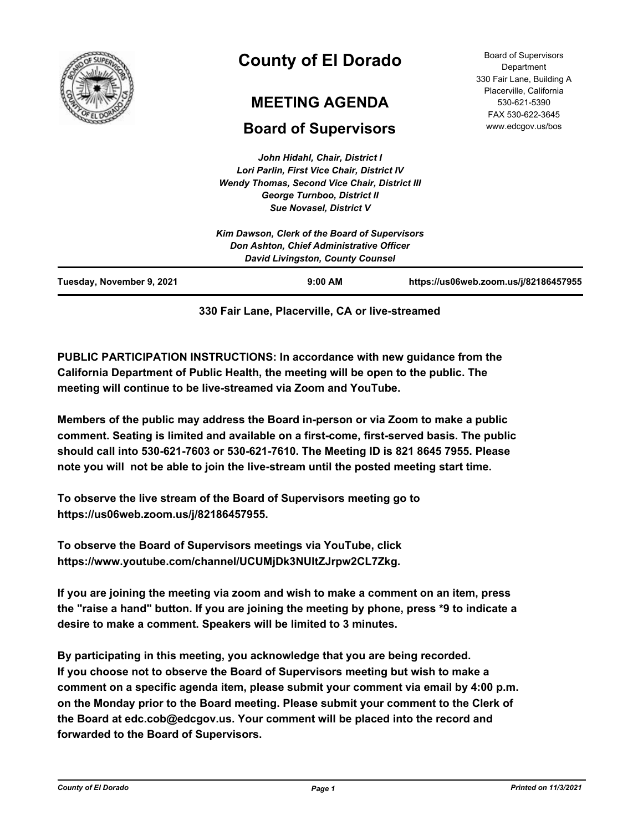

# **County of El Dorado**

# **MEETING AGENDA**

# **Board of Supervisors**

Department 330 Fair Lane, Building A Placerville, California 530-621-5390 FAX 530-622-3645 www.edcgov.us/bos

Board of Supervisors

*John Hidahl, Chair, District I Lori Parlin, First Vice Chair, District IV Wendy Thomas, Second Vice Chair, District III George Turnboo, District II Sue Novasel, District V*

| Kim Dawson, Clerk of the Board of Supervisors<br>Don Ashton, Chief Administrative Officer<br><b>David Livingston, County Counsel</b> |           |                                       |
|--------------------------------------------------------------------------------------------------------------------------------------|-----------|---------------------------------------|
| Tuesday, November 9, 2021                                                                                                            | $9:00$ AM | https://us06web.zoom.us/j/82186457955 |

# **330 Fair Lane, Placerville, CA or live-streamed**

**PUBLIC PARTICIPATION INSTRUCTIONS: In accordance with new guidance from the California Department of Public Health, the meeting will be open to the public. The meeting will continue to be live-streamed via Zoom and YouTube.**

**Members of the public may address the Board in-person or via Zoom to make a public comment. Seating is limited and available on a first-come, first-served basis. The public should call into 530-621-7603 or 530-621-7610. The Meeting ID is 821 8645 7955. Please note you will not be able to join the live-stream until the posted meeting start time.**

**To observe the live stream of the Board of Supervisors meeting go to https://us06web.zoom.us/j/82186457955.**

**To observe the Board of Supervisors meetings via YouTube, click https://www.youtube.com/channel/UCUMjDk3NUltZJrpw2CL7Zkg.**

**If you are joining the meeting via zoom and wish to make a comment on an item, press the "raise a hand" button. If you are joining the meeting by phone, press \*9 to indicate a desire to make a comment. Speakers will be limited to 3 minutes.**

**By participating in this meeting, you acknowledge that you are being recorded. If you choose not to observe the Board of Supervisors meeting but wish to make a comment on a specific agenda item, please submit your comment via email by 4:00 p.m. on the Monday prior to the Board meeting. Please submit your comment to the Clerk of the Board at edc.cob@edcgov.us. Your comment will be placed into the record and forwarded to the Board of Supervisors.**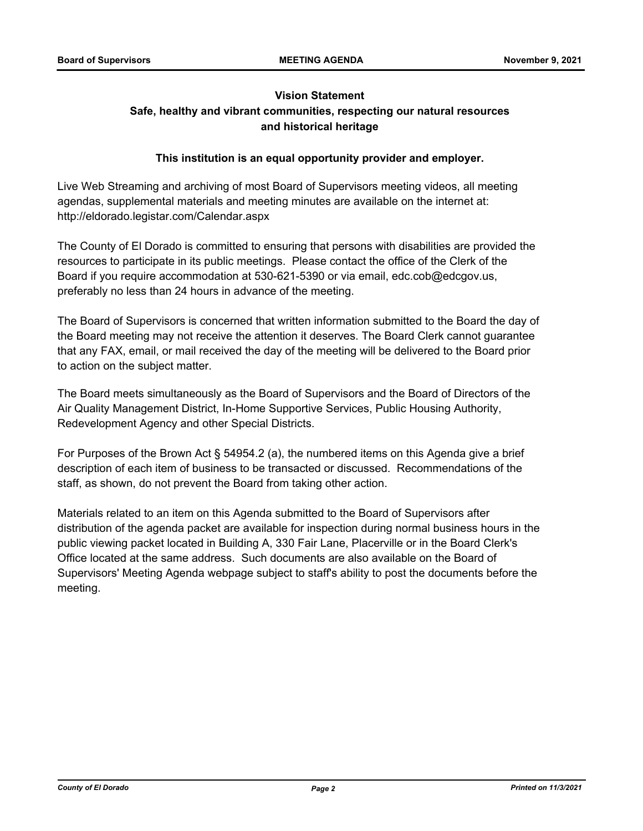# **Vision Statement Safe, healthy and vibrant communities, respecting our natural resources and historical heritage**

# **This institution is an equal opportunity provider and employer.**

Live Web Streaming and archiving of most Board of Supervisors meeting videos, all meeting agendas, supplemental materials and meeting minutes are available on the internet at: http://eldorado.legistar.com/Calendar.aspx

The County of El Dorado is committed to ensuring that persons with disabilities are provided the resources to participate in its public meetings. Please contact the office of the Clerk of the Board if you require accommodation at 530-621-5390 or via email, edc.cob@edcgov.us, preferably no less than 24 hours in advance of the meeting.

The Board of Supervisors is concerned that written information submitted to the Board the day of the Board meeting may not receive the attention it deserves. The Board Clerk cannot guarantee that any FAX, email, or mail received the day of the meeting will be delivered to the Board prior to action on the subject matter.

The Board meets simultaneously as the Board of Supervisors and the Board of Directors of the Air Quality Management District, In-Home Supportive Services, Public Housing Authority, Redevelopment Agency and other Special Districts.

For Purposes of the Brown Act § 54954.2 (a), the numbered items on this Agenda give a brief description of each item of business to be transacted or discussed. Recommendations of the staff, as shown, do not prevent the Board from taking other action.

Materials related to an item on this Agenda submitted to the Board of Supervisors after distribution of the agenda packet are available for inspection during normal business hours in the public viewing packet located in Building A, 330 Fair Lane, Placerville or in the Board Clerk's Office located at the same address. Such documents are also available on the Board of Supervisors' Meeting Agenda webpage subject to staff's ability to post the documents before the meeting.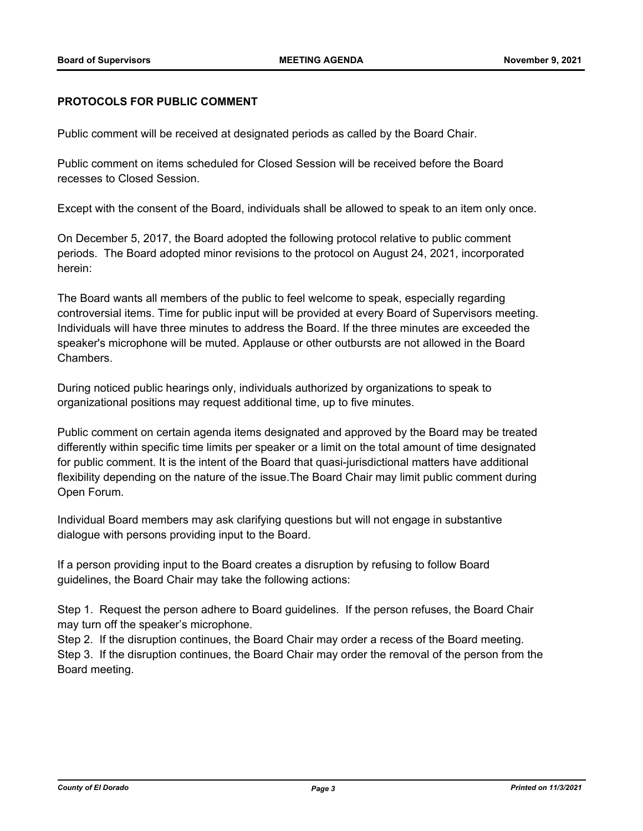# **PROTOCOLS FOR PUBLIC COMMENT**

Public comment will be received at designated periods as called by the Board Chair.

Public comment on items scheduled for Closed Session will be received before the Board recesses to Closed Session.

Except with the consent of the Board, individuals shall be allowed to speak to an item only once.

On December 5, 2017, the Board adopted the following protocol relative to public comment periods. The Board adopted minor revisions to the protocol on August 24, 2021, incorporated herein:

The Board wants all members of the public to feel welcome to speak, especially regarding controversial items. Time for public input will be provided at every Board of Supervisors meeting. Individuals will have three minutes to address the Board. If the three minutes are exceeded the speaker's microphone will be muted. Applause or other outbursts are not allowed in the Board Chambers.

During noticed public hearings only, individuals authorized by organizations to speak to organizational positions may request additional time, up to five minutes.

Public comment on certain agenda items designated and approved by the Board may be treated differently within specific time limits per speaker or a limit on the total amount of time designated for public comment. It is the intent of the Board that quasi-jurisdictional matters have additional flexibility depending on the nature of the issue.The Board Chair may limit public comment during Open Forum.

Individual Board members may ask clarifying questions but will not engage in substantive dialogue with persons providing input to the Board.

If a person providing input to the Board creates a disruption by refusing to follow Board guidelines, the Board Chair may take the following actions:

Step 1. Request the person adhere to Board guidelines. If the person refuses, the Board Chair may turn off the speaker's microphone.

Step 2. If the disruption continues, the Board Chair may order a recess of the Board meeting. Step 3. If the disruption continues, the Board Chair may order the removal of the person from the Board meeting.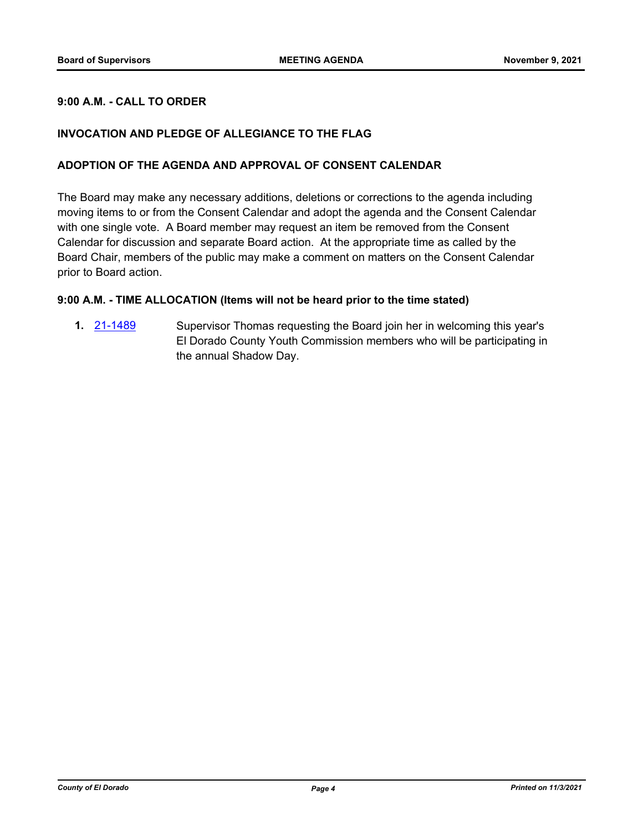# **9:00 A.M. - CALL TO ORDER**

# **INVOCATION AND PLEDGE OF ALLEGIANCE TO THE FLAG**

## **ADOPTION OF THE AGENDA AND APPROVAL OF CONSENT CALENDAR**

The Board may make any necessary additions, deletions or corrections to the agenda including moving items to or from the Consent Calendar and adopt the agenda and the Consent Calendar with one single vote. A Board member may request an item be removed from the Consent Calendar for discussion and separate Board action. At the appropriate time as called by the Board Chair, members of the public may make a comment on matters on the Consent Calendar prior to Board action.

# **9:00 A.M. - TIME ALLOCATION (Items will not be heard prior to the time stated)**

**1.** [21-1489](http://eldorado.legistar.com/gateway.aspx?m=l&id=/matter.aspx?key=30384) Supervisor Thomas requesting the Board join her in welcoming this year's El Dorado County Youth Commission members who will be participating in the annual Shadow Day.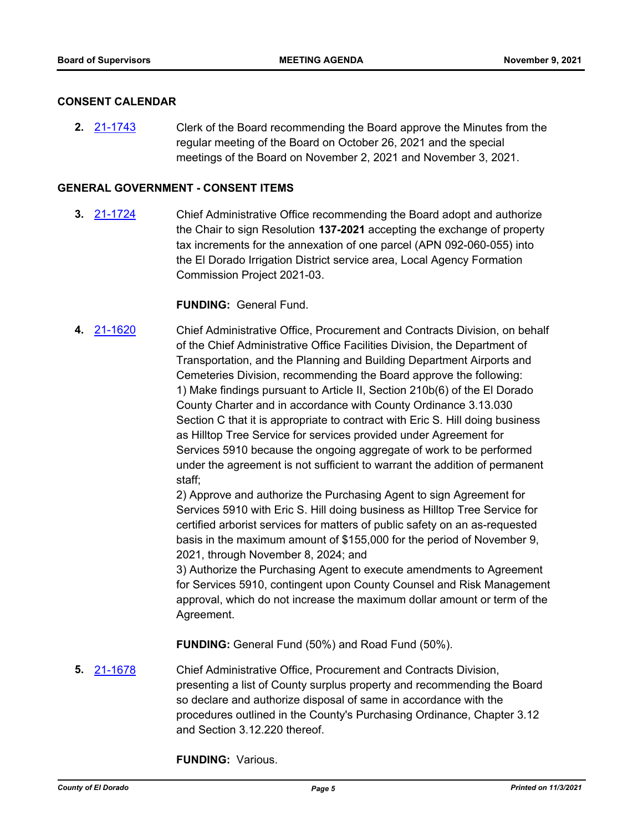## **CONSENT CALENDAR**

**2.** [21-1743](http://eldorado.legistar.com/gateway.aspx?m=l&id=/matter.aspx?key=30638) Clerk of the Board recommending the Board approve the Minutes from the regular meeting of the Board on October 26, 2021 and the special meetings of the Board on November 2, 2021 and November 3, 2021.

### **GENERAL GOVERNMENT - CONSENT ITEMS**

**3.** [21-1724](http://eldorado.legistar.com/gateway.aspx?m=l&id=/matter.aspx?key=30619) Chief Administrative Office recommending the Board adopt and authorize the Chair to sign Resolution **137-2021** accepting the exchange of property tax increments for the annexation of one parcel (APN 092-060-055) into the El Dorado Irrigation District service area, Local Agency Formation Commission Project 2021-03.

# **FUNDING:** General Fund.

**4.** [21-1620](http://eldorado.legistar.com/gateway.aspx?m=l&id=/matter.aspx?key=30515) Chief Administrative Office, Procurement and Contracts Division, on behalf of the Chief Administrative Office Facilities Division, the Department of Transportation, and the Planning and Building Department Airports and Cemeteries Division, recommending the Board approve the following: 1) Make findings pursuant to Article II, Section 210b(6) of the El Dorado County Charter and in accordance with County Ordinance 3.13.030 Section C that it is appropriate to contract with Eric S. Hill doing business as Hilltop Tree Service for services provided under Agreement for Services 5910 because the ongoing aggregate of work to be performed under the agreement is not sufficient to warrant the addition of permanent staff;

2) Approve and authorize the Purchasing Agent to sign Agreement for Services 5910 with Eric S. Hill doing business as Hilltop Tree Service for certified arborist services for matters of public safety on an as-requested basis in the maximum amount of \$155,000 for the period of November 9, 2021, through November 8, 2024; and

3) Authorize the Purchasing Agent to execute amendments to Agreement for Services 5910, contingent upon County Counsel and Risk Management approval, which do not increase the maximum dollar amount or term of the Agreement.

**FUNDING:** General Fund (50%) and Road Fund (50%).

**5.** [21-1678](http://eldorado.legistar.com/gateway.aspx?m=l&id=/matter.aspx?key=30573) Chief Administrative Office, Procurement and Contracts Division, presenting a list of County surplus property and recommending the Board so declare and authorize disposal of same in accordance with the procedures outlined in the County's Purchasing Ordinance, Chapter 3.12 and Section 3.12.220 thereof.

**FUNDING:** Various.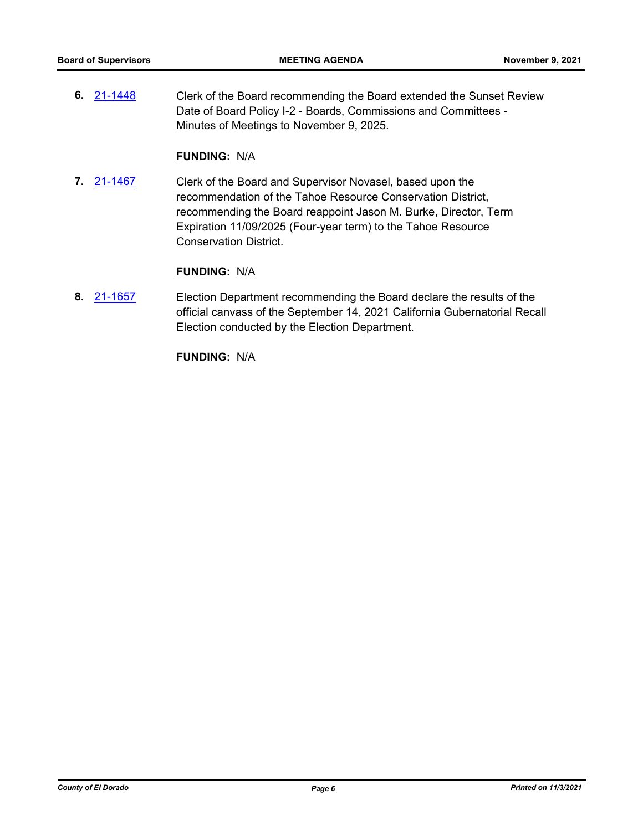**6.** [21-1448](http://eldorado.legistar.com/gateway.aspx?m=l&id=/matter.aspx?key=30343) Clerk of the Board recommending the Board extended the Sunset Review Date of Board Policy I-2 - Boards, Commissions and Committees - Minutes of Meetings to November 9, 2025.

# **FUNDING:** N/A

**7.** [21-1467](http://eldorado.legistar.com/gateway.aspx?m=l&id=/matter.aspx?key=30362) Clerk of the Board and Supervisor Novasel, based upon the recommendation of the Tahoe Resource Conservation District, recommending the Board reappoint Jason M. Burke, Director, Term Expiration 11/09/2025 (Four-year term) to the Tahoe Resource Conservation District.

# **FUNDING:** N/A

**8.** [21-1657](http://eldorado.legistar.com/gateway.aspx?m=l&id=/matter.aspx?key=30552) Election Department recommending the Board declare the results of the official canvass of the September 14, 2021 California Gubernatorial Recall Election conducted by the Election Department.

**FUNDING:** N/A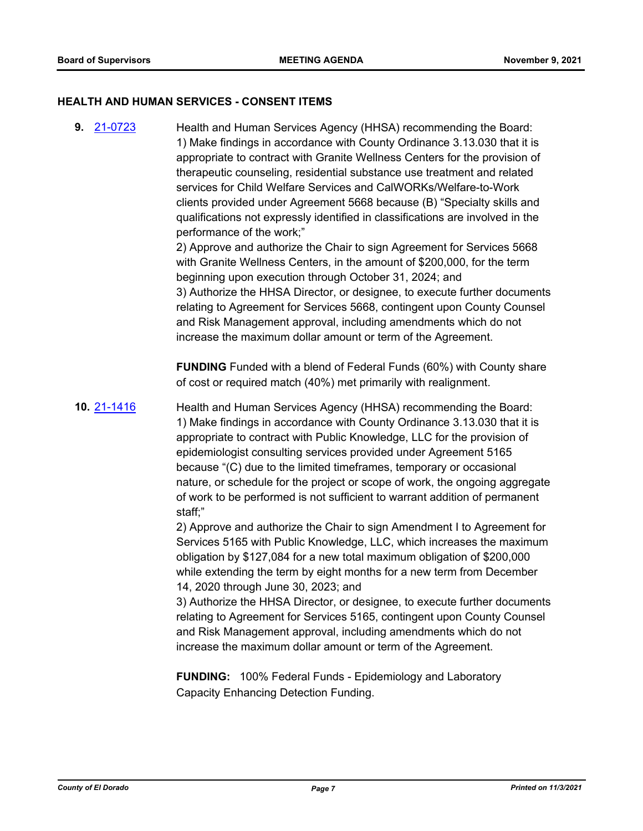### **HEALTH AND HUMAN SERVICES - CONSENT ITEMS**

staff;"

**9.** [21-0723](http://eldorado.legistar.com/gateway.aspx?m=l&id=/matter.aspx?key=29618) Health and Human Services Agency (HHSA) recommending the Board: 1) Make findings in accordance with County Ordinance 3.13.030 that it is appropriate to contract with Granite Wellness Centers for the provision of therapeutic counseling, residential substance use treatment and related services for Child Welfare Services and CalWORKs/Welfare-to-Work clients provided under Agreement 5668 because (B) "Specialty skills and qualifications not expressly identified in classifications are involved in the performance of the work;" 2) Approve and authorize the Chair to sign Agreement for Services 5668 with Granite Wellness Centers, in the amount of \$200,000, for the term beginning upon execution through October 31, 2024; and 3) Authorize the HHSA Director, or designee, to execute further documents relating to Agreement for Services 5668, contingent upon County Counsel and Risk Management approval, including amendments which do not increase the maximum dollar amount or term of the Agreement. **FUNDING** Funded with a blend of Federal Funds (60%) with County share of cost or required match (40%) met primarily with realignment. **10.** [21-1416](http://eldorado.legistar.com/gateway.aspx?m=l&id=/matter.aspx?key=30311) Health and Human Services Agency (HHSA) recommending the Board: 1) Make findings in accordance with County Ordinance 3.13.030 that it is appropriate to contract with Public Knowledge, LLC for the provision of epidemiologist consulting services provided under Agreement 5165 because "(C) due to the limited timeframes, temporary or occasional nature, or schedule for the project or scope of work, the ongoing aggregate of work to be performed is not sufficient to warrant addition of permanent

> 2) Approve and authorize the Chair to sign Amendment I to Agreement for Services 5165 with Public Knowledge, LLC, which increases the maximum obligation by \$127,084 for a new total maximum obligation of \$200,000 while extending the term by eight months for a new term from December 14, 2020 through June 30, 2023; and

3) Authorize the HHSA Director, or designee, to execute further documents relating to Agreement for Services 5165, contingent upon County Counsel and Risk Management approval, including amendments which do not increase the maximum dollar amount or term of the Agreement.

**FUNDING:** 100% Federal Funds - Epidemiology and Laboratory Capacity Enhancing Detection Funding.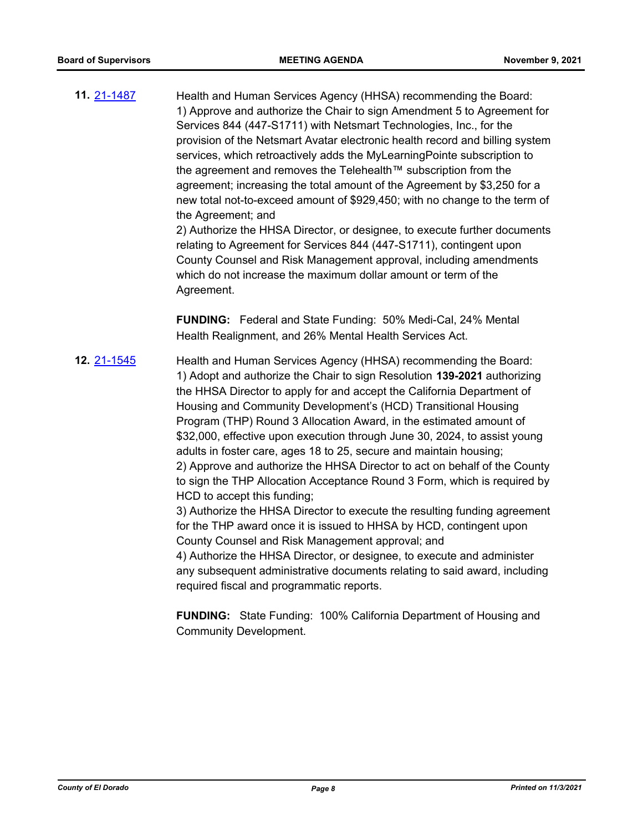**11.** [21-1487](http://eldorado.legistar.com/gateway.aspx?m=l&id=/matter.aspx?key=30382) Health and Human Services Agency (HHSA) recommending the Board: 1) Approve and authorize the Chair to sign Amendment 5 to Agreement for Services 844 (447-S1711) with Netsmart Technologies, Inc., for the provision of the Netsmart Avatar electronic health record and billing system services, which retroactively adds the MyLearningPointe subscription to the agreement and removes the Telehealth™ subscription from the agreement; increasing the total amount of the Agreement by \$3,250 for a new total not-to-exceed amount of \$929,450; with no change to the term of the Agreement; and

2) Authorize the HHSA Director, or designee, to execute further documents relating to Agreement for Services 844 (447-S1711), contingent upon County Counsel and Risk Management approval, including amendments which do not increase the maximum dollar amount or term of the Agreement.

**FUNDING:** Federal and State Funding: 50% Medi-Cal, 24% Mental Health Realignment, and 26% Mental Health Services Act.

**12.** [21-1545](http://eldorado.legistar.com/gateway.aspx?m=l&id=/matter.aspx?key=30440) Health and Human Services Agency (HHSA) recommending the Board: 1) Adopt and authorize the Chair to sign Resolution **139-2021** authorizing the HHSA Director to apply for and accept the California Department of Housing and Community Development's (HCD) Transitional Housing Program (THP) Round 3 Allocation Award, in the estimated amount of \$32,000, effective upon execution through June 30, 2024, to assist young adults in foster care, ages 18 to 25, secure and maintain housing; 2) Approve and authorize the HHSA Director to act on behalf of the County to sign the THP Allocation Acceptance Round 3 Form, which is required by HCD to accept this funding; 3) Authorize the HHSA Director to execute the resulting funding agreement

for the THP award once it is issued to HHSA by HCD, contingent upon County Counsel and Risk Management approval; and

4) Authorize the HHSA Director, or designee, to execute and administer any subsequent administrative documents relating to said award, including required fiscal and programmatic reports.

**FUNDING:** State Funding: 100% California Department of Housing and Community Development.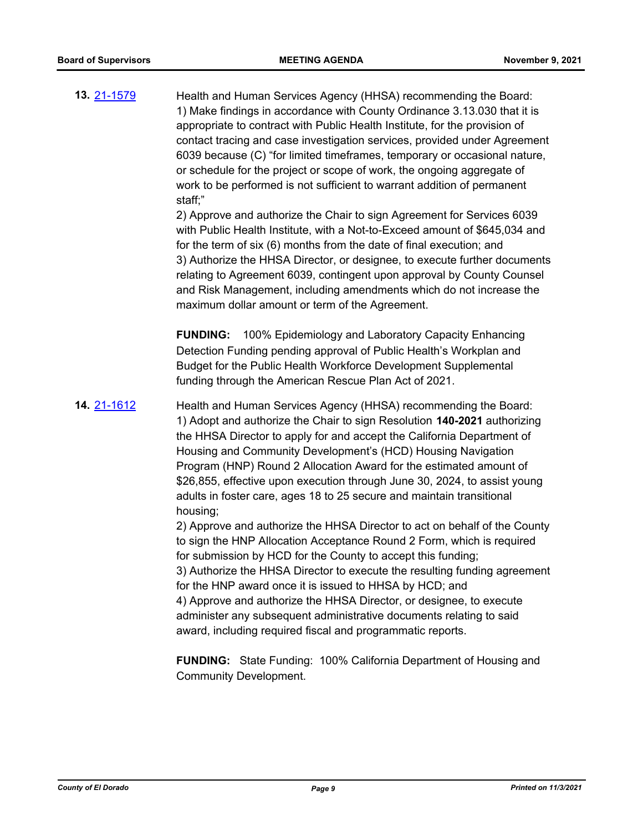**13.** [21-1579](http://eldorado.legistar.com/gateway.aspx?m=l&id=/matter.aspx?key=30474) Health and Human Services Agency (HHSA) recommending the Board: 1) Make findings in accordance with County Ordinance 3.13.030 that it is appropriate to contract with Public Health Institute, for the provision of contact tracing and case investigation services, provided under Agreement 6039 because (C) "for limited timeframes, temporary or occasional nature, or schedule for the project or scope of work, the ongoing aggregate of work to be performed is not sufficient to warrant addition of permanent staff;"

> 2) Approve and authorize the Chair to sign Agreement for Services 6039 with Public Health Institute, with a Not-to-Exceed amount of \$645,034 and for the term of six (6) months from the date of final execution; and 3) Authorize the HHSA Director, or designee, to execute further documents relating to Agreement 6039, contingent upon approval by County Counsel and Risk Management, including amendments which do not increase the maximum dollar amount or term of the Agreement.

**FUNDING:** 100% Epidemiology and Laboratory Capacity Enhancing Detection Funding pending approval of Public Health's Workplan and Budget for the Public Health Workforce Development Supplemental funding through the American Rescue Plan Act of 2021.

**14.** [21-1612](http://eldorado.legistar.com/gateway.aspx?m=l&id=/matter.aspx?key=30507) Health and Human Services Agency (HHSA) recommending the Board: 1) Adopt and authorize the Chair to sign Resolution **140-2021** authorizing the HHSA Director to apply for and accept the California Department of Housing and Community Development's (HCD) Housing Navigation Program (HNP) Round 2 Allocation Award for the estimated amount of \$26,855, effective upon execution through June 30, 2024, to assist young adults in foster care, ages 18 to 25 secure and maintain transitional housing;

> 2) Approve and authorize the HHSA Director to act on behalf of the County to sign the HNP Allocation Acceptance Round 2 Form, which is required for submission by HCD for the County to accept this funding; 3) Authorize the HHSA Director to execute the resulting funding agreement for the HNP award once it is issued to HHSA by HCD; and 4) Approve and authorize the HHSA Director, or designee, to execute

administer any subsequent administrative documents relating to said award, including required fiscal and programmatic reports.

**FUNDING:** State Funding: 100% California Department of Housing and Community Development.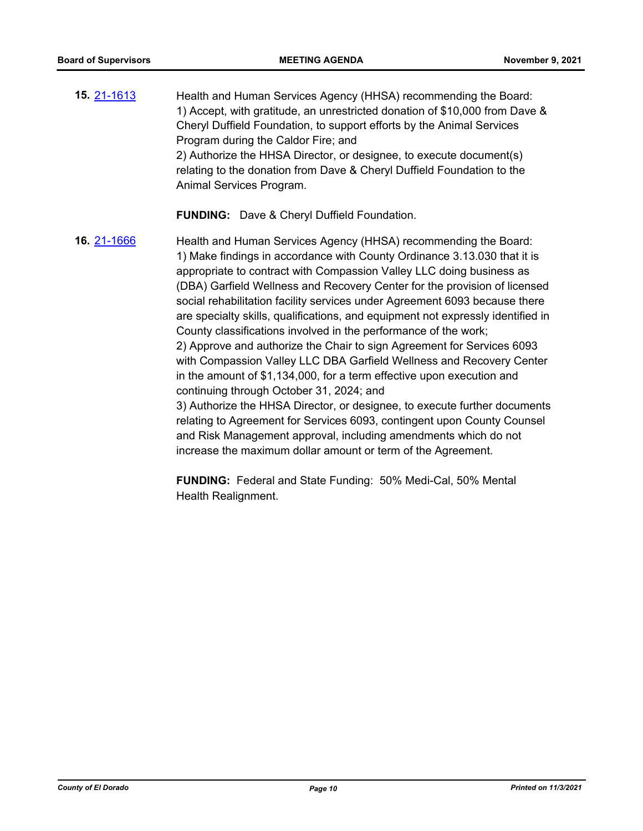**15.** [21-1613](http://eldorado.legistar.com/gateway.aspx?m=l&id=/matter.aspx?key=30508) Health and Human Services Agency (HHSA) recommending the Board: 1) Accept, with gratitude, an unrestricted donation of \$10,000 from Dave & Cheryl Duffield Foundation, to support efforts by the Animal Services Program during the Caldor Fire; and 2) Authorize the HHSA Director, or designee, to execute document(s) relating to the donation from Dave & Cheryl Duffield Foundation to the Animal Services Program.

**FUNDING:** Dave & Cheryl Duffield Foundation.

**16.** [21-1666](http://eldorado.legistar.com/gateway.aspx?m=l&id=/matter.aspx?key=30561) Health and Human Services Agency (HHSA) recommending the Board: 1) Make findings in accordance with County Ordinance 3.13.030 that it is appropriate to contract with Compassion Valley LLC doing business as (DBA) Garfield Wellness and Recovery Center for the provision of licensed social rehabilitation facility services under Agreement 6093 because there are specialty skills, qualifications, and equipment not expressly identified in County classifications involved in the performance of the work; 2) Approve and authorize the Chair to sign Agreement for Services 6093 with Compassion Valley LLC DBA Garfield Wellness and Recovery Center in the amount of \$1,134,000, for a term effective upon execution and continuing through October 31, 2024; and 3) Authorize the HHSA Director, or designee, to execute further documents relating to Agreement for Services 6093, contingent upon County Counsel and Risk Management approval, including amendments which do not increase the maximum dollar amount or term of the Agreement.

> **FUNDING:** Federal and State Funding: 50% Medi-Cal, 50% Mental Health Realignment.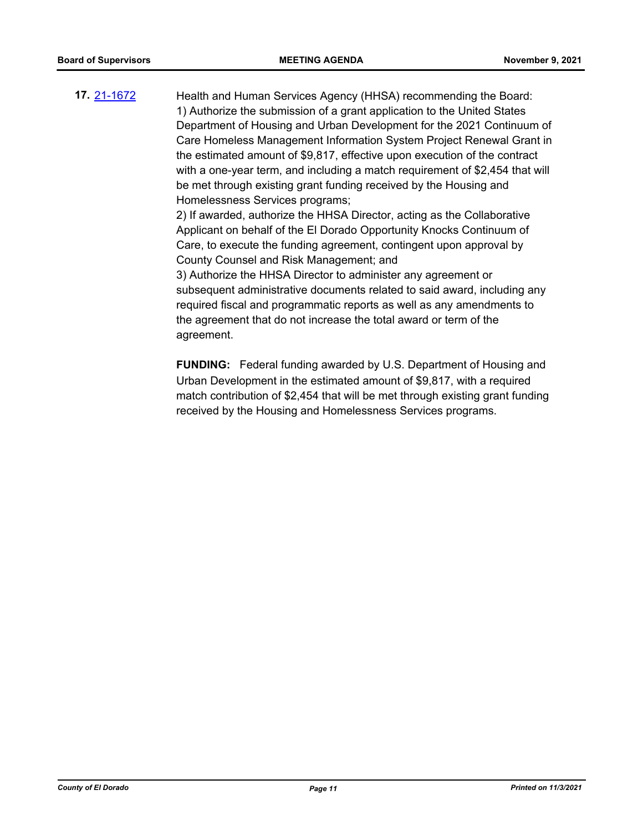**17.** [21-1672](http://eldorado.legistar.com/gateway.aspx?m=l&id=/matter.aspx?key=30567) Health and Human Services Agency (HHSA) recommending the Board: 1) Authorize the submission of a grant application to the United States Department of Housing and Urban Development for the 2021 Continuum of Care Homeless Management Information System Project Renewal Grant in the estimated amount of \$9,817, effective upon execution of the contract with a one-year term, and including a match requirement of \$2,454 that will be met through existing grant funding received by the Housing and Homelessness Services programs; 2) If awarded, authorize the HHSA Director, acting as the Collaborative

Applicant on behalf of the El Dorado Opportunity Knocks Continuum of Care, to execute the funding agreement, contingent upon approval by County Counsel and Risk Management; and

3) Authorize the HHSA Director to administer any agreement or subsequent administrative documents related to said award, including any required fiscal and programmatic reports as well as any amendments to the agreement that do not increase the total award or term of the agreement.

**FUNDING:** Federal funding awarded by U.S. Department of Housing and Urban Development in the estimated amount of \$9,817, with a required match contribution of \$2,454 that will be met through existing grant funding received by the Housing and Homelessness Services programs.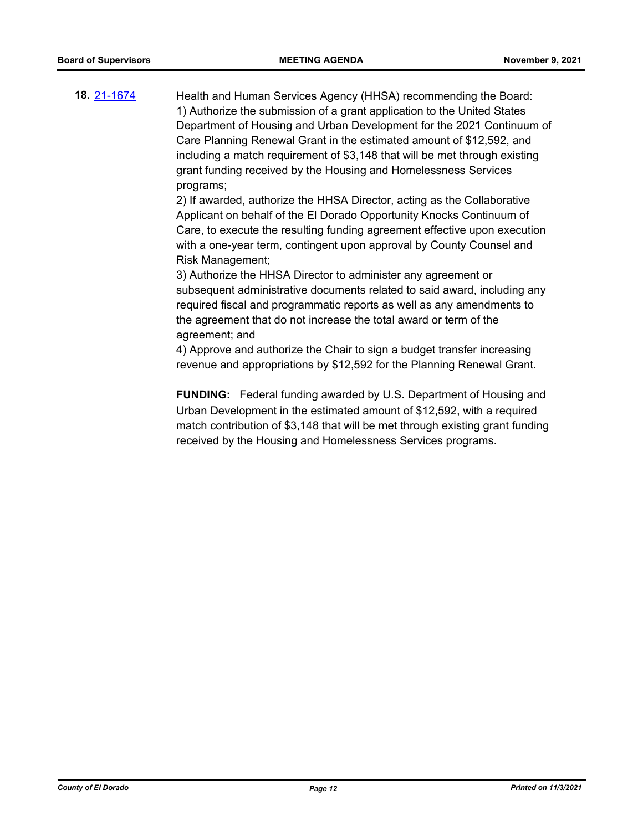**18.** [21-1674](http://eldorado.legistar.com/gateway.aspx?m=l&id=/matter.aspx?key=30569) Health and Human Services Agency (HHSA) recommending the Board: 1) Authorize the submission of a grant application to the United States Department of Housing and Urban Development for the 2021 Continuum of Care Planning Renewal Grant in the estimated amount of \$12,592, and including a match requirement of \$3,148 that will be met through existing grant funding received by the Housing and Homelessness Services programs;

> 2) If awarded, authorize the HHSA Director, acting as the Collaborative Applicant on behalf of the El Dorado Opportunity Knocks Continuum of Care, to execute the resulting funding agreement effective upon execution with a one-year term, contingent upon approval by County Counsel and Risk Management;

> 3) Authorize the HHSA Director to administer any agreement or subsequent administrative documents related to said award, including any required fiscal and programmatic reports as well as any amendments to the agreement that do not increase the total award or term of the agreement; and

4) Approve and authorize the Chair to sign a budget transfer increasing revenue and appropriations by \$12,592 for the Planning Renewal Grant.

**FUNDING:** Federal funding awarded by U.S. Department of Housing and Urban Development in the estimated amount of \$12,592, with a required match contribution of \$3,148 that will be met through existing grant funding received by the Housing and Homelessness Services programs.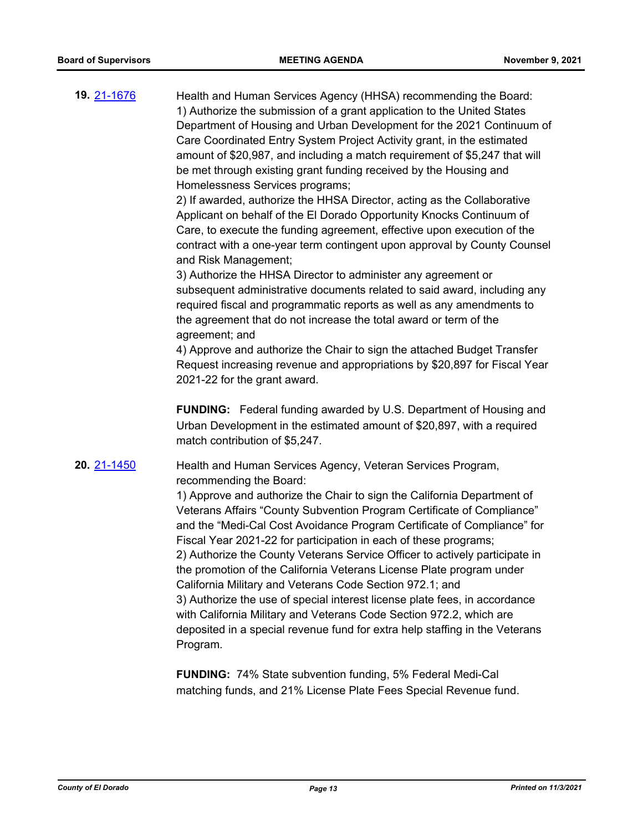**19.** [21-1676](http://eldorado.legistar.com/gateway.aspx?m=l&id=/matter.aspx?key=30571) Health and Human Services Agency (HHSA) recommending the Board: 1) Authorize the submission of a grant application to the United States Department of Housing and Urban Development for the 2021 Continuum of Care Coordinated Entry System Project Activity grant, in the estimated amount of \$20,987, and including a match requirement of \$5,247 that will be met through existing grant funding received by the Housing and Homelessness Services programs;

> 2) If awarded, authorize the HHSA Director, acting as the Collaborative Applicant on behalf of the El Dorado Opportunity Knocks Continuum of Care, to execute the funding agreement, effective upon execution of the contract with a one-year term contingent upon approval by County Counsel and Risk Management;

> 3) Authorize the HHSA Director to administer any agreement or subsequent administrative documents related to said award, including any required fiscal and programmatic reports as well as any amendments to the agreement that do not increase the total award or term of the agreement; and

> 4) Approve and authorize the Chair to sign the attached Budget Transfer Request increasing revenue and appropriations by \$20,897 for Fiscal Year 2021-22 for the grant award.

> **FUNDING:** Federal funding awarded by U.S. Department of Housing and Urban Development in the estimated amount of \$20,897, with a required match contribution of \$5,247.

**20.** [21-1450](http://eldorado.legistar.com/gateway.aspx?m=l&id=/matter.aspx?key=30345) Health and Human Services Agency, Veteran Services Program, recommending the Board:

> 1) Approve and authorize the Chair to sign the California Department of Veterans Affairs "County Subvention Program Certificate of Compliance" and the "Medi-Cal Cost Avoidance Program Certificate of Compliance" for Fiscal Year 2021-22 for participation in each of these programs; 2) Authorize the County Veterans Service Officer to actively participate in the promotion of the California Veterans License Plate program under California Military and Veterans Code Section 972.1; and 3) Authorize the use of special interest license plate fees, in accordance with California Military and Veterans Code Section 972.2, which are deposited in a special revenue fund for extra help staffing in the Veterans Program.

**FUNDING:** 74% State subvention funding, 5% Federal Medi-Cal matching funds, and 21% License Plate Fees Special Revenue fund.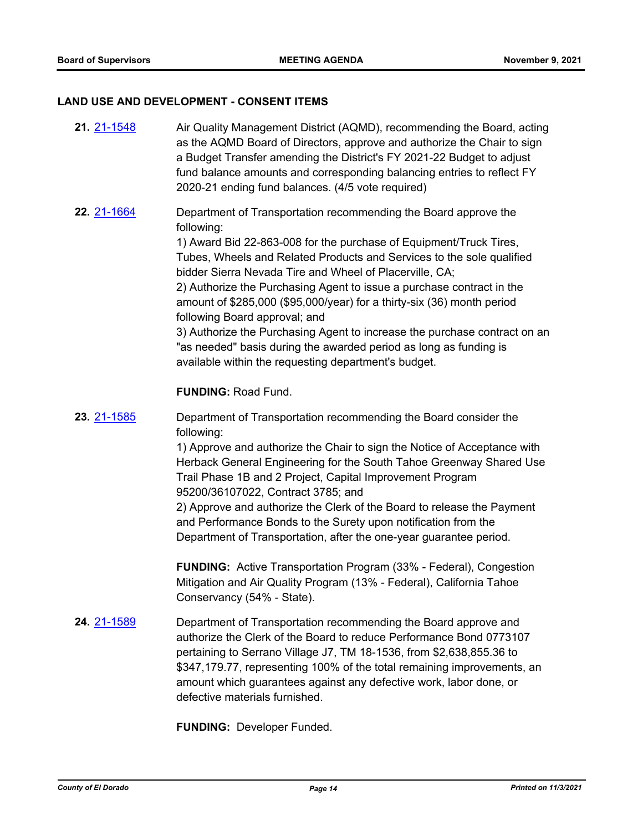# **LAND USE AND DEVELOPMENT - CONSENT ITEMS**

| 21. 21-1548        | Air Quality Management District (AQMD), recommending the Board, acting<br>as the AQMD Board of Directors, approve and authorize the Chair to sign<br>a Budget Transfer amending the District's FY 2021-22 Budget to adjust<br>fund balance amounts and corresponding balancing entries to reflect FY<br>2020-21 ending fund balances. (4/5 vote required)                                                                                                                                                                                                                                                                                                                             |
|--------------------|---------------------------------------------------------------------------------------------------------------------------------------------------------------------------------------------------------------------------------------------------------------------------------------------------------------------------------------------------------------------------------------------------------------------------------------------------------------------------------------------------------------------------------------------------------------------------------------------------------------------------------------------------------------------------------------|
| 22. 21-1664        | Department of Transportation recommending the Board approve the<br>following:<br>1) Award Bid 22-863-008 for the purchase of Equipment/Truck Tires,<br>Tubes, Wheels and Related Products and Services to the sole qualified<br>bidder Sierra Nevada Tire and Wheel of Placerville, CA;<br>2) Authorize the Purchasing Agent to issue a purchase contract in the<br>amount of \$285,000 (\$95,000/year) for a thirty-six (36) month period<br>following Board approval; and<br>3) Authorize the Purchasing Agent to increase the purchase contract on an<br>"as needed" basis during the awarded period as long as funding is<br>available within the requesting department's budget. |
|                    | <b>FUNDING: Road Fund.</b>                                                                                                                                                                                                                                                                                                                                                                                                                                                                                                                                                                                                                                                            |
| <b>23. 21-1585</b> | Department of Transportation recommending the Board consider the<br>following:<br>1) Approve and authorize the Chair to sign the Notice of Acceptance with<br>Herback General Engineering for the South Tahoe Greenway Shared Use<br>Trail Phase 1B and 2 Project, Capital Improvement Program<br>95200/36107022, Contract 3785; and<br>2) Approve and authorize the Clerk of the Board to release the Payment<br>and Performance Bonds to the Surety upon notification from the<br>Department of Transportation, after the one-year guarantee period.                                                                                                                                |
|                    | <b>FUNDING:</b> Active Transportation Program (33% - Federal), Congestion<br>Mitigation and Air Quality Program (13% - Federal), California Tahoe<br>Conservancy (54% - State).                                                                                                                                                                                                                                                                                                                                                                                                                                                                                                       |
| <b>24. 21-1589</b> | Department of Transportation recommending the Board approve and<br>authorize the Clerk of the Board to reduce Performance Bond 0773107<br>pertaining to Serrano Village J7, TM 18-1536, from \$2,638,855.36 to<br>\$347,179.77, representing 100% of the total remaining improvements, an<br>amount which guarantees against any defective work, labor done, or<br>defective materials furnished.                                                                                                                                                                                                                                                                                     |

**FUNDING:** Developer Funded.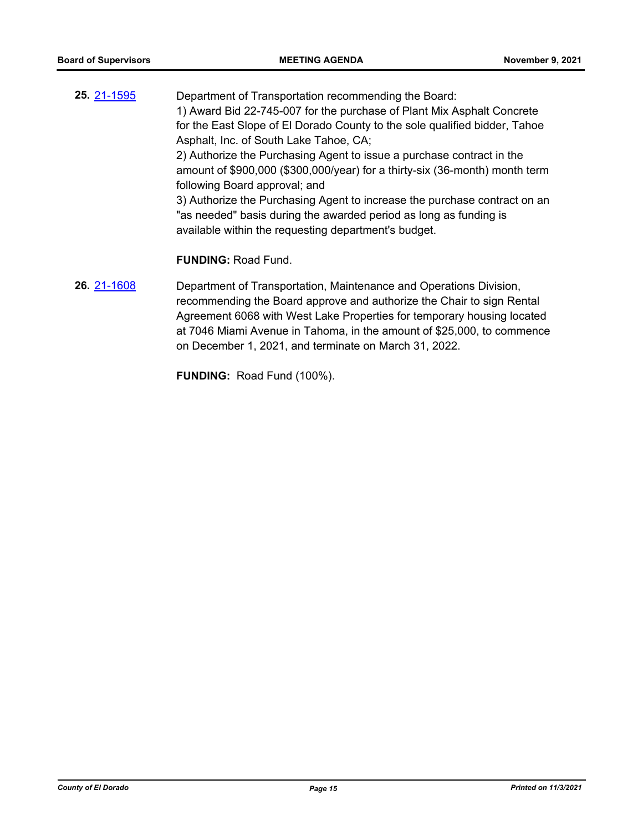- **25.** [21-1595](http://eldorado.legistar.com/gateway.aspx?m=l&id=/matter.aspx?key=30490) Department of Transportation recommending the Board: 1) Award Bid 22-745-007 for the purchase of Plant Mix Asphalt Concrete for the East Slope of El Dorado County to the sole qualified bidder, Tahoe Asphalt, Inc. of South Lake Tahoe, CA; 2) Authorize the Purchasing Agent to issue a purchase contract in the amount of \$900,000 (\$300,000/year) for a thirty-six (36-month) month term following Board approval; and 3) Authorize the Purchasing Agent to increase the purchase contract on an "as needed" basis during the awarded period as long as funding is available within the requesting department's budget. **FUNDING:** Road Fund. **26.** [21-1608](http://eldorado.legistar.com/gateway.aspx?m=l&id=/matter.aspx?key=30503) Department of Transportation, Maintenance and Operations Division,
	- recommending the Board approve and authorize the Chair to sign Rental Agreement 6068 with West Lake Properties for temporary housing located at 7046 Miami Avenue in Tahoma, in the amount of \$25,000, to commence on December 1, 2021, and terminate on March 31, 2022.

**FUNDING:** Road Fund (100%).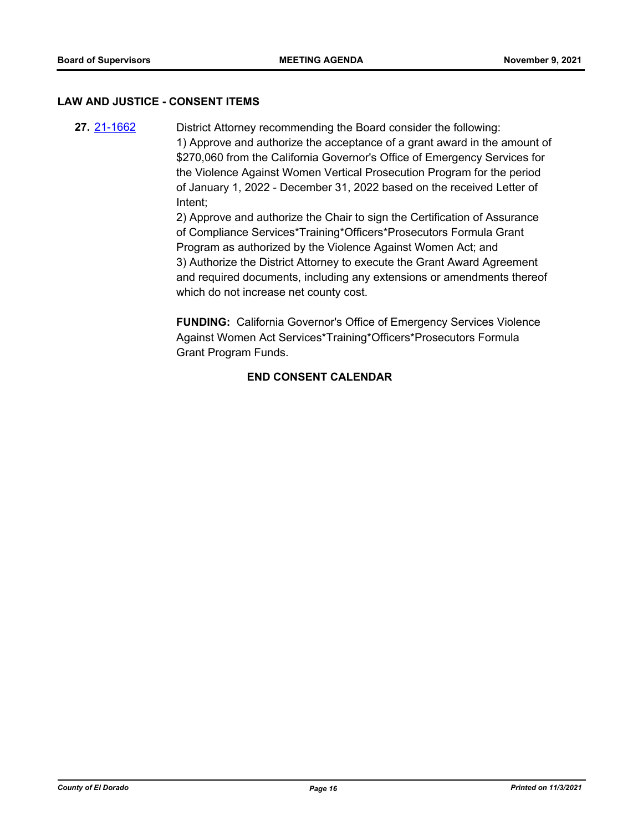### **LAW AND JUSTICE - CONSENT ITEMS**

**27.** [21-1662](http://eldorado.legistar.com/gateway.aspx?m=l&id=/matter.aspx?key=30557) District Attorney recommending the Board consider the following: 1) Approve and authorize the acceptance of a grant award in the amount of \$270,060 from the California Governor's Office of Emergency Services for the Violence Against Women Vertical Prosecution Program for the period of January 1, 2022 - December 31, 2022 based on the received Letter of Intent;

> 2) Approve and authorize the Chair to sign the Certification of Assurance of Compliance Services\*Training\*Officers\*Prosecutors Formula Grant Program as authorized by the Violence Against Women Act; and 3) Authorize the District Attorney to execute the Grant Award Agreement and required documents, including any extensions or amendments thereof which do not increase net county cost.

**FUNDING:** California Governor's Office of Emergency Services Violence Against Women Act Services\*Training\*Officers\*Prosecutors Formula Grant Program Funds.

# **END CONSENT CALENDAR**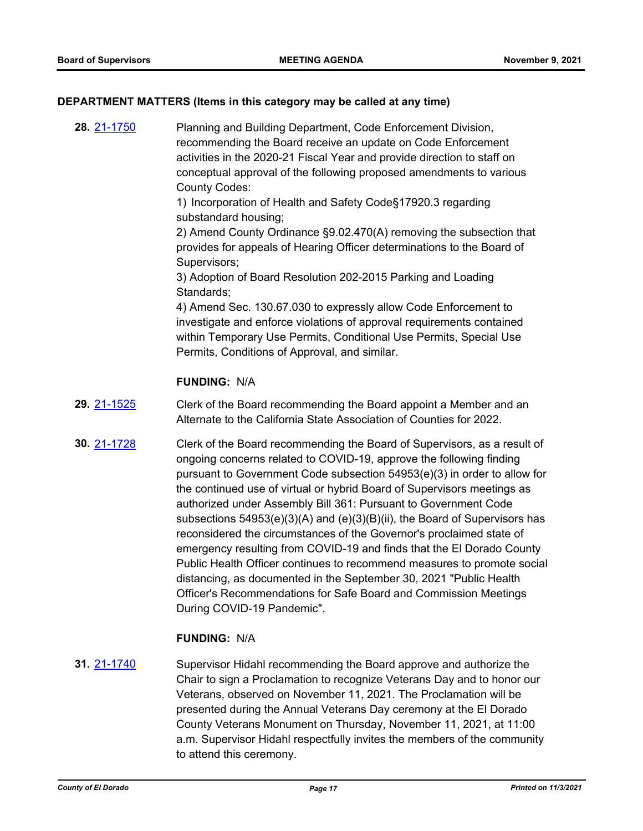# **DEPARTMENT MATTERS (Items in this category may be called at any time)**

**28.** [21-1750](http://eldorado.legistar.com/gateway.aspx?m=l&id=/matter.aspx?key=30646) Planning and Building Department, Code Enforcement Division, recommending the Board receive an update on Code Enforcement activities in the 2020-21 Fiscal Year and provide direction to staff on conceptual approval of the following proposed amendments to various County Codes:

> 1) Incorporation of Health and Safety Code§17920.3 regarding substandard housing;

2) Amend County Ordinance §9.02.470(A) removing the subsection that provides for appeals of Hearing Officer determinations to the Board of Supervisors;

3) Adoption of Board Resolution 202-2015 Parking and Loading Standards;

4) Amend Sec. 130.67.030 to expressly allow Code Enforcement to investigate and enforce violations of approval requirements contained within Temporary Use Permits, Conditional Use Permits, Special Use Permits, Conditions of Approval, and similar.

# **FUNDING:** N/A

- **29.** [21-1525](http://eldorado.legistar.com/gateway.aspx?m=l&id=/matter.aspx?key=30420) Clerk of the Board recommending the Board appoint a Member and an Alternate to the California State Association of Counties for 2022.
- **30.** [21-1728](http://eldorado.legistar.com/gateway.aspx?m=l&id=/matter.aspx?key=30623) Clerk of the Board recommending the Board of Supervisors, as a result of ongoing concerns related to COVID-19, approve the following finding pursuant to Government Code subsection 54953(e)(3) in order to allow for the continued use of virtual or hybrid Board of Supervisors meetings as authorized under Assembly Bill 361: Pursuant to Government Code subsections 54953(e)(3)(A) and (e)(3)(B)(ii), the Board of Supervisors has reconsidered the circumstances of the Governor's proclaimed state of emergency resulting from COVID-19 and finds that the El Dorado County Public Health Officer continues to recommend measures to promote social distancing, as documented in the September 30, 2021 "Public Health Officer's Recommendations for Safe Board and Commission Meetings During COVID-19 Pandemic".

### **FUNDING:** N/A

**31.** [21-1740](http://eldorado.legistar.com/gateway.aspx?m=l&id=/matter.aspx?key=30635) Supervisor Hidahl recommending the Board approve and authorize the Chair to sign a Proclamation to recognize Veterans Day and to honor our Veterans, observed on November 11, 2021. The Proclamation will be presented during the Annual Veterans Day ceremony at the El Dorado County Veterans Monument on Thursday, November 11, 2021, at 11:00 a.m. Supervisor Hidahl respectfully invites the members of the community to attend this ceremony.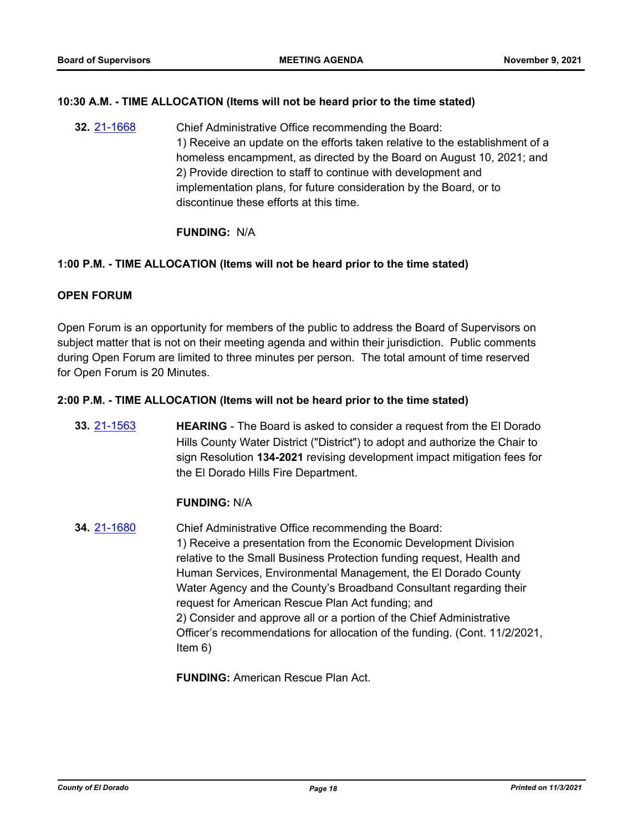# **10:30 A.M. - TIME ALLOCATION (Items will not be heard prior to the time stated)**

**32.** [21-1668](http://eldorado.legistar.com/gateway.aspx?m=l&id=/matter.aspx?key=30563) Chief Administrative Office recommending the Board: 1) Receive an update on the efforts taken relative to the establishment of a homeless encampment, as directed by the Board on August 10, 2021; and 2) Provide direction to staff to continue with development and implementation plans, for future consideration by the Board, or to discontinue these efforts at this time.

# **FUNDING:** N/A

# **1:00 P.M. - TIME ALLOCATION (Items will not be heard prior to the time stated)**

# **OPEN FORUM**

Open Forum is an opportunity for members of the public to address the Board of Supervisors on subject matter that is not on their meeting agenda and within their jurisdiction. Public comments during Open Forum are limited to three minutes per person. The total amount of time reserved for Open Forum is 20 Minutes.

### **2:00 P.M. - TIME ALLOCATION (Items will not be heard prior to the time stated)**

**33.** [21-1563](http://eldorado.legistar.com/gateway.aspx?m=l&id=/matter.aspx?key=30458) **HEARING** - The Board is asked to consider a request from the El Dorado Hills County Water District ("District") to adopt and authorize the Chair to sign Resolution **134-2021** revising development impact mitigation fees for the El Dorado Hills Fire Department.

### **FUNDING:** N/A

**34.** [21-1680](http://eldorado.legistar.com/gateway.aspx?m=l&id=/matter.aspx?key=30575) Chief Administrative Office recommending the Board: 1) Receive a presentation from the Economic Development Division relative to the Small Business Protection funding request, Health and Human Services, Environmental Management, the El Dorado County Water Agency and the County's Broadband Consultant regarding their request for American Rescue Plan Act funding; and 2) Consider and approve all or a portion of the Chief Administrative Officer's recommendations for allocation of the funding. (Cont. 11/2/2021, Item 6)

**FUNDING:** American Rescue Plan Act.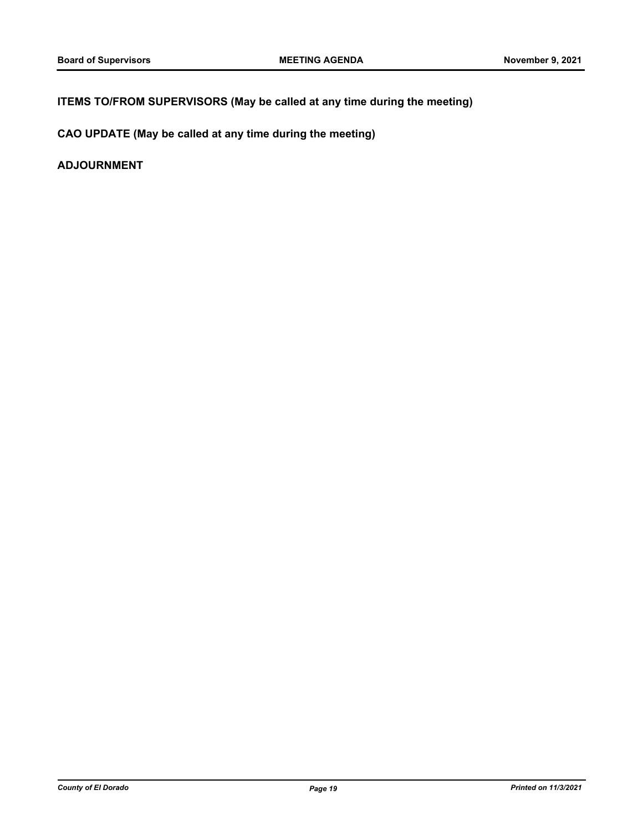# **ITEMS TO/FROM SUPERVISORS (May be called at any time during the meeting)**

**CAO UPDATE (May be called at any time during the meeting)**

**ADJOURNMENT**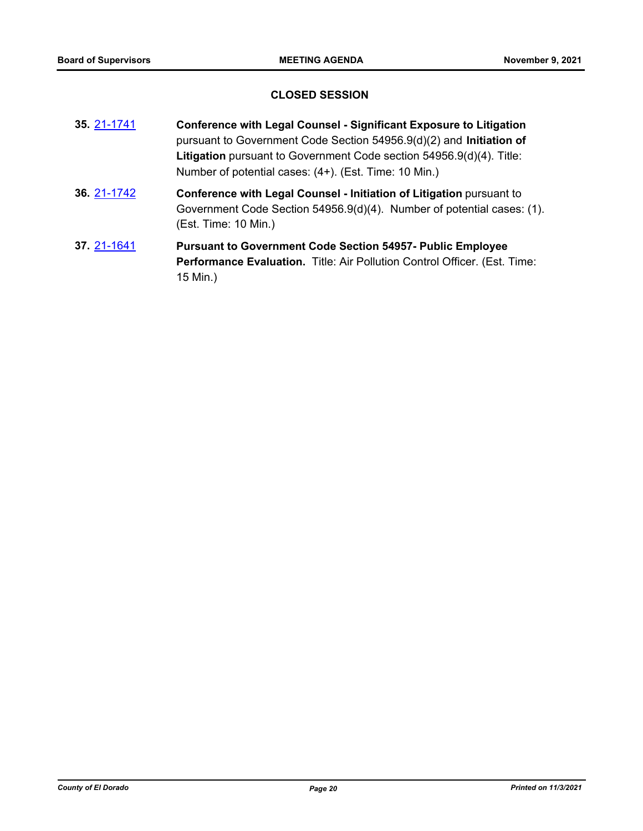# **CLOSED SESSION**

- **35.** [21-1741](http://eldorado.legistar.com/gateway.aspx?m=l&id=/matter.aspx?key=30636) **Conference with Legal Counsel Significant Exposure to Litigation** pursuant to Government Code Section 54956.9(d)(2) and **Initiation of Litigation** pursuant to Government Code section 54956.9(d)(4). Title: Number of potential cases: (4+). (Est. Time: 10 Min.)
- **36.** [21-1742](http://eldorado.legistar.com/gateway.aspx?m=l&id=/matter.aspx?key=30637) **Conference with Legal Counsel Initiation of Litigation** pursuant to Government Code Section 54956.9(d)(4). Number of potential cases: (1). (Est. Time: 10 Min.)
- **37.** [21-1641](http://eldorado.legistar.com/gateway.aspx?m=l&id=/matter.aspx?key=30536) **Pursuant to Government Code Section 54957- Public Employee Performance Evaluation.** Title: Air Pollution Control Officer. (Est. Time: 15 Min.)